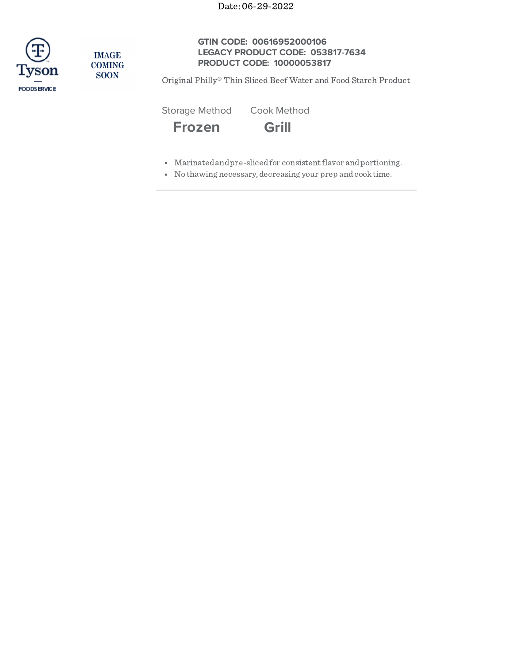

**IMAGE COMING SOON** 

# **GTIN CODE: 00616952000106 LEGACY PRODUCT CODE: 053817-7634 PRODUCT CODE: 10000053817**

Original Philly® Thin Sliced Beef Water and Food Starch Product

Storage Method Cook Method

**Frozen Grill**

- Marinatedandpre-slicedfor consistentflavor andportioning.
- No thawing necessary, decreasing your prep andcooktime.